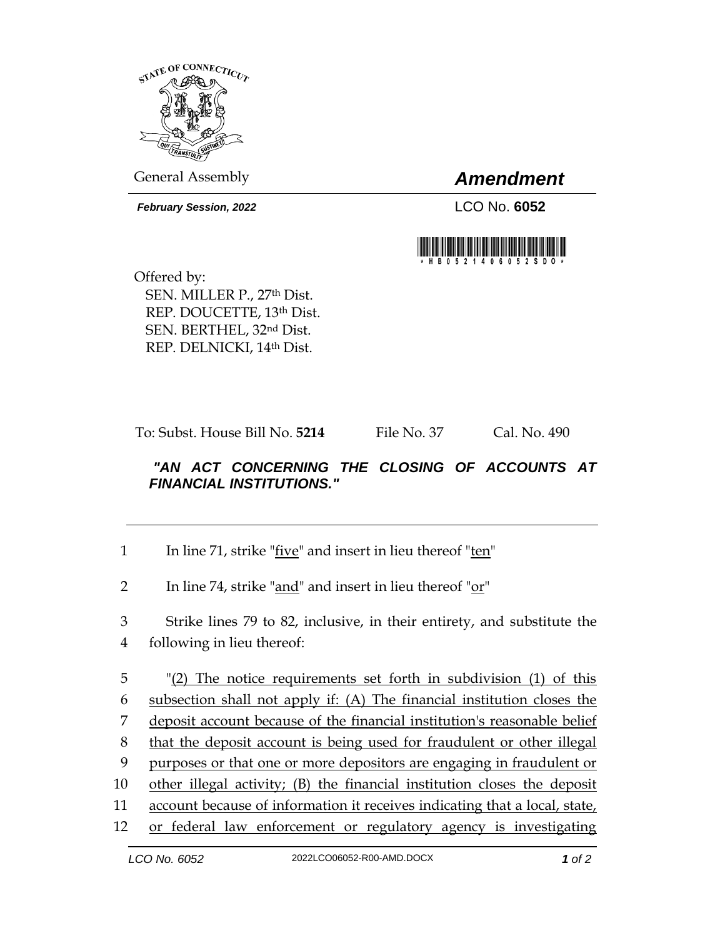

General Assembly *Amendment*

*February Session, 2022* LCO No. **6052**



Offered by: SEN. MILLER P., 27th Dist. REP. DOUCETTE, 13th Dist. SEN. BERTHEL, 32nd Dist. REP. DELNICKI, 14th Dist.

To: Subst. House Bill No. **5214** File No. 37 Cal. No. 490

## *"AN ACT CONCERNING THE CLOSING OF ACCOUNTS AT FINANCIAL INSTITUTIONS."*

| In line 71, strike "five" and insert in lieu thereof "ten" |  |
|------------------------------------------------------------|--|
|------------------------------------------------------------|--|

2 In line 74, strike "and" and insert in lieu thereof "or"

3 Strike lines 79 to 82, inclusive, in their entirety, and substitute the 4 following in lieu thereof:

 "(2) The notice requirements set forth in subdivision (1) of this subsection shall not apply if: (A) The financial institution closes the deposit account because of the financial institution's reasonable belief that the deposit account is being used for fraudulent or other illegal purposes or that one or more depositors are engaging in fraudulent or other illegal activity; (B) the financial institution closes the deposit account because of information it receives indicating that a local, state, or federal law enforcement or regulatory agency is investigating